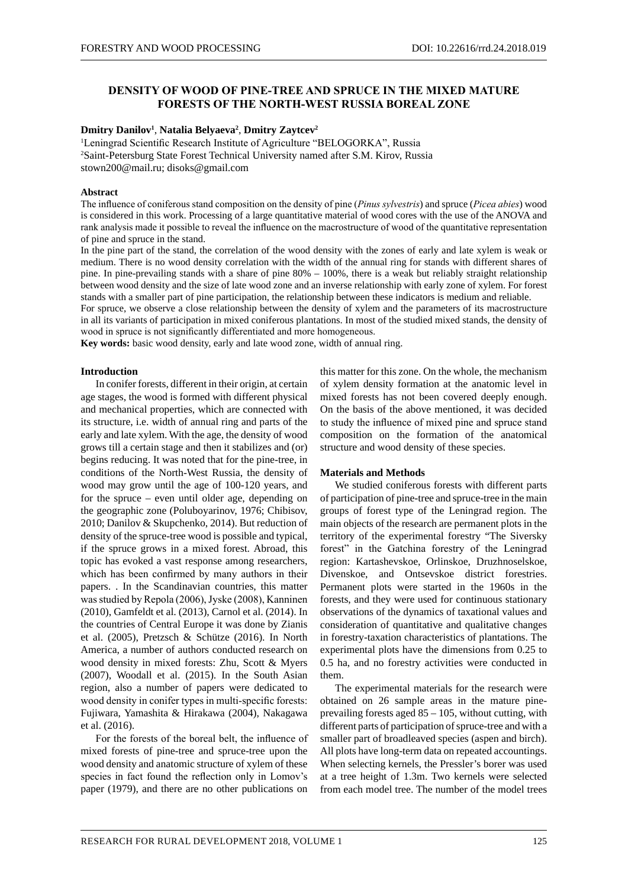# **DENSITY OF WOOD OF PINE-TREE AND SPRUCE IN THE MIXED MATURE FORESTS OF THE NORTH-WEST RUSSIA BOREAL ZONE**

### **Dmitry Danilov1** , **Natalia Belyaeva2** , **Dmitry Zaytcev2**

<sup>1</sup>Leningrad Scientific Research Institute of Agriculture "BELOGORKA", Russia 2 Saint-Petersburg State Forest Technical University named after S.M. Kirov, Russia stown200@mail.ru; disoks@gmail.com

### **Abstract**

The influence of coniferous stand composition on the density of pine (*Pinus sylvestris*) and spruce (*Picea abies*) wood is considered in this work. Processing of a large quantitative material of wood cores with the use of the ANOVA and rank analysis made it possible to reveal the influence on the macrostructure of wood of the quantitative representation of pine and spruce in the stand.

In the pine part of the stand, the correlation of the wood density with the zones of early and late xylem is weak or medium. There is no wood density correlation with the width of the annual ring for stands with different shares of pine. In pine-prevailing stands with a share of pine 80% – 100%, there is a weak but reliably straight relationship between wood density and the size of late wood zone and an inverse relationship with early zone of xylem. For forest stands with a smaller part of pine participation, the relationship between these indicators is medium and reliable.

For spruce, we observe a close relationship between the density of xylem and the parameters of its macrostructure in all its variants of participation in mixed coniferous plantations. In most of the studied mixed stands, the density of wood in spruce is not significantly differentiated and more homogeneous.

**Key words:** basic wood density, early and late wood zone, width of annual ring.

#### **Introduction**

In conifer forests, different in their origin, at certain age stages, the wood is formed with different physical and mechanical properties, which are connected with its structure, i.e. width of annual ring and parts of the early and late xylem. With the age, the density of wood grows till a certain stage and then it stabilizes and (or) begins reducing. It was noted that for the pine-tree, in conditions of the North-West Russia, the density of wood may grow until the age of 100-120 years, and for the spruce – even until older age, depending on the geographic zone (Poluboyarinov, 1976; Chibisov, 2010; Danilov & Skupchenko, 2014). But reduction of density of the spruce-tree wood is possible and typical, if the spruce grows in a mixed forest. Abroad, this topic has evoked a vast response among researchers, which has been confirmed by many authors in their papers. . In the Scandinavian countries, this matter was studied by Repola (2006), Jyske (2008), Kanninen (2010), Gamfeldt et al. (2013), Carnol et al. (2014). In the countries of Central Europe it was done by Zianis et al. (2005), Pretzsch & Schütze (2016). In North America, a number of authors conducted research on wood density in mixed forests: Zhu, Scott & Myers (2007), Woodall et al. (2015). In the South Asian region, also a number of papers were dedicated to wood density in conifer types in multi-specific forests: Fujiwara, Yamashita & Hirakawa (2004), Nakagawa et al. (2016).

For the forests of the boreal belt, the influence of mixed forests of pine-tree and spruce-tree upon the wood density and anatomic structure of xylem of these species in fact found the reflection only in Lomov's paper (1979), and there are no other publications on

this matter for this zone. On the whole, the mechanism of xylem density formation at the anatomic level in mixed forests has not been covered deeply enough. On the basis of the above mentioned, it was decided to study the influence of mixed pine and spruce stand composition on the formation of the anatomical structure and wood density of these species.

### **Materials and Methods**

We studied coniferous forests with different parts of participation of pine-tree and spruce-tree in the main groups of forest type of the Leningrad region. The main objects of the research are permanent plots in the territory of the experimental forestry "The Siversky forest" in the Gatchina forestry of the Leningrad region: Kartashevskoe, Orlinskoe, Druzhnoselskoe, Divenskoe, and Ontsevskoe district forestries. Permanent plots were started in the 1960s in the forests, and they were used for continuous stationary observations of the dynamics of taxational values and consideration of quantitative and qualitative changes in forestry-taxation characteristics of plantations. The experimental plots have the dimensions from 0.25 to 0.5 ha, and no forestry activities were conducted in them.

The experimental materials for the research were obtained on 26 sample areas in the mature pineprevailing forests aged 85 – 105, without cutting, with different parts of participation of spruce-tree and with a smaller part of broadleaved species (aspen and birch). All plots have long-term data on repeated accountings. When selecting kernels, the Pressler's borer was used at a tree height of 1.3m. Two kernels were selected from each model tree. The number of the model trees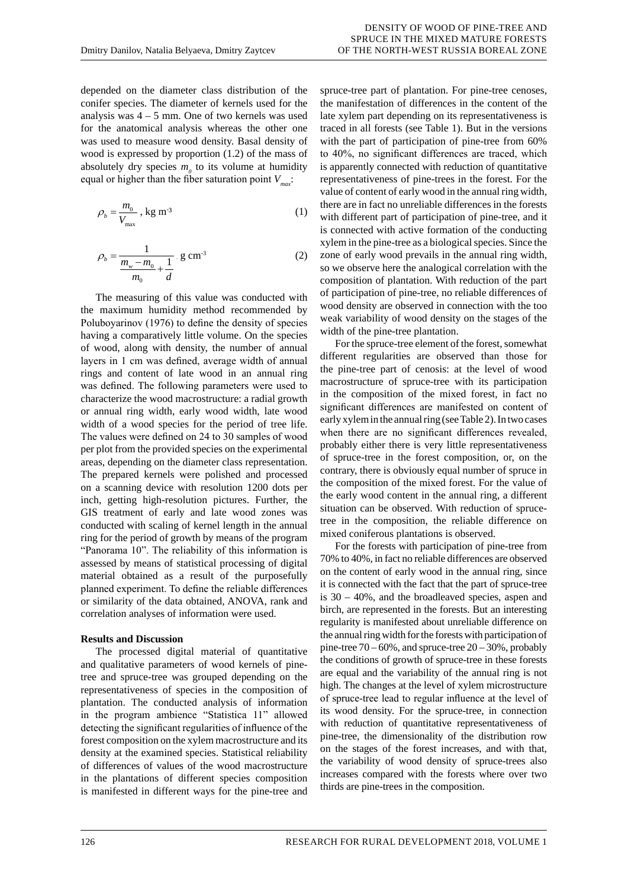depended on the diameter class distribution of the conifer species. The diameter of kernels used for the analysis was  $4 - 5$  mm. One of two kernels was used for the anatomical analysis whereas the other one was used to measure wood density. Basal density of wood is expressed by proportion (1.2) of the mass of absolutely dry species  $m<sub>0</sub>$  to its volume at humidity equal or higher than the fiber saturation point  $V_{\dots}$ :

$$
\rho_b = \frac{m_0}{V_{\text{max}}}, \text{ kg m}^3 \tag{1}
$$

$$
\rho_b = \frac{1}{\frac{m_w - m_0}{m_0} + \frac{1}{d}} \text{ g cm}^3 \tag{2}
$$

The measuring of this value was conducted with the maximum humidity method recommended by Poluboyarinov (1976) to define the density of species having a comparatively little volume. On the species of wood, along with density, the number of annual layers in 1 cm was defined, average width of annual rings and content of late wood in an annual ring was defined. The following parameters were used to characterize the wood macrostructure: a radial growth or annual ring width, early wood width, late wood width of a wood species for the period of tree life. The values were defined on 24 to 30 samples of wood per plot from the provided species on the experimental areas, depending on the diameter class representation. The prepared kernels were polished and processed on a scanning device with resolution 1200 dots per inch, getting high-resolution pictures. Further, the GIS treatment of early and late wood zones was conducted with scaling of kernel length in the annual ring for the period of growth by means of the program "Panorama 10". The reliability of this information is assessed by means of statistical processing of digital material obtained as a result of the purposefully planned experiment. To define the reliable differences or similarity of the data obtained, ANOVA, rank and correlation analyses of information were used.

### **Results and Discussion**

The processed digital material of quantitative and qualitative parameters of wood kernels of pinetree and spruce-tree was grouped depending on the representativeness of species in the composition of plantation. The conducted analysis of information in the program ambience "Statistica 11" allowed detecting the significant regularities of influence of the forest composition on the xylem macrostructure and its density at the examined species. Statistical reliability of differences of values of the wood macrostructure in the plantations of different species composition is manifested in different ways for the pine-tree and

spruce-tree part of plantation. For pine-tree cenoses, the manifestation of differences in the content of the late xylem part depending on its representativeness is traced in all forests (see Table 1). But in the versions with the part of participation of pine-tree from  $60\%$ to 40%, no significant differences are traced, which is apparently connected with reduction of quantitative representativeness of pine-trees in the forest. For the value of content of early wood in the annual ring width, there are in fact no unreliable differences in the forests with different part of participation of pine-tree, and it is connected with active formation of the conducting xylem in the pine-tree as a biological species. Since the zone of early wood prevails in the annual ring width, so we observe here the analogical correlation with the composition of plantation. With reduction of the part of participation of pine-tree, no reliable differences of wood density are observed in connection with the too weak variability of wood density on the stages of the width of the pine-tree plantation.

For the spruce-tree element of the forest, somewhat different regularities are observed than those for the pine-tree part of cenosis: at the level of wood macrostructure of spruce-tree with its participation in the composition of the mixed forest, in fact no significant differences are manifested on content of early xylem in the annual ring (see Table 2). In two cases when there are no significant differences revealed, probably either there is very little representativeness of spruce-tree in the forest composition, or, on the contrary, there is obviously equal number of spruce in the composition of the mixed forest. For the value of the early wood content in the annual ring, a different situation can be observed. With reduction of sprucetree in the composition, the reliable difference on mixed coniferous plantations is observed.

For the forests with participation of pine-tree from 70% to 40%, in fact no reliable differences are observed on the content of early wood in the annual ring, since it is connected with the fact that the part of spruce-tree is 30 – 40%, and the broadleaved species, aspen and birch, are represented in the forests. But an interesting regularity is manifested about unreliable difference on the annual ring width for the forests with participation of pine-tree  $70 - 60\%$ , and spruce-tree  $20 - 30\%$ , probably the conditions of growth of spruce-tree in these forests are equal and the variability of the annual ring is not high. The changes at the level of xylem microstructure of spruce-tree lead to regular influence at the level of its wood density. For the spruce-tree, in connection with reduction of quantitative representativeness of pine-tree, the dimensionality of the distribution row on the stages of the forest increases, and with that, the variability of wood density of spruce-trees also increases compared with the forests where over two thirds are pine-trees in the composition.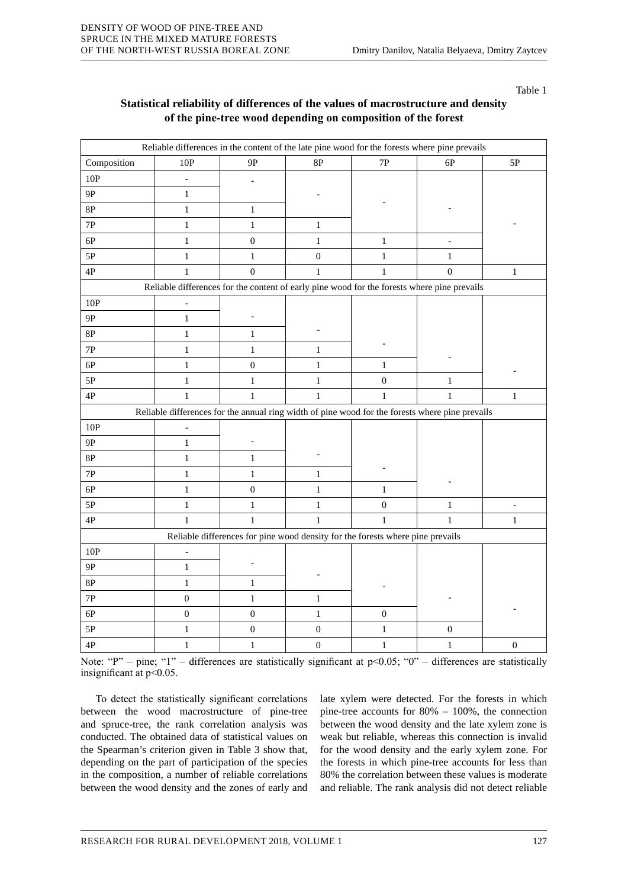Table 1

| Statistical reliability of differences of the values of macrostructure and density |
|------------------------------------------------------------------------------------|
| of the pine-tree wood depending on composition of the forest                       |

|                                                                                             | Reliable differences in the content of the late pine wood for the forests where pine prevails   |                  |                  |                                                                                |                  |                  |  |
|---------------------------------------------------------------------------------------------|-------------------------------------------------------------------------------------------------|------------------|------------------|--------------------------------------------------------------------------------|------------------|------------------|--|
| Composition                                                                                 | $10P$                                                                                           | 9P               | $8\mathrm{P}$    | $7\mathrm{P}$                                                                  | 6P               | 5P               |  |
| 10P                                                                                         |                                                                                                 |                  |                  |                                                                                |                  |                  |  |
| <b>9P</b>                                                                                   | $\mathbf{1}$                                                                                    |                  |                  |                                                                                |                  |                  |  |
| $8\mathrm{P}$                                                                               | $\mathbf{1}$                                                                                    | $\mathbf{1}$     |                  |                                                                                |                  |                  |  |
| 7P                                                                                          | $\mathbf{1}$                                                                                    | $\mathbf{1}$     | $\mathbf{1}$     |                                                                                |                  |                  |  |
| 6P                                                                                          | $\mathbf{1}$                                                                                    | $\boldsymbol{0}$ | $\,1$            | $\mathbf{1}$                                                                   |                  |                  |  |
| $5{\rm P}$                                                                                  | $\mathbf{1}$                                                                                    | $\mathbf{1}$     | $\boldsymbol{0}$ | $\mathbf{1}$                                                                   | $\mathbf{1}$     |                  |  |
| $4\mathrm{P}$                                                                               | $\mathbf{1}$                                                                                    | $\boldsymbol{0}$ | $\mathbf{1}$     | $\mathbf{1}$                                                                   | $\boldsymbol{0}$ | $\mathbf{1}$     |  |
| Reliable differences for the content of early pine wood for the forests where pine prevails |                                                                                                 |                  |                  |                                                                                |                  |                  |  |
| 10P                                                                                         | $\overline{a}$                                                                                  |                  |                  |                                                                                |                  |                  |  |
| 9P                                                                                          | $\mathbf{1}$                                                                                    |                  |                  |                                                                                |                  |                  |  |
| 8P                                                                                          | $\mathbf{1}$                                                                                    | $\mathbf{1}$     |                  |                                                                                |                  |                  |  |
| 7P                                                                                          | $\mathbf{1}$                                                                                    | $\mathbf{1}$     | $\mathbf{1}$     |                                                                                |                  |                  |  |
| 6P                                                                                          | $\mathbf{1}$                                                                                    | $\boldsymbol{0}$ | $\mathbf{1}$     | $\mathbf{1}$                                                                   |                  |                  |  |
| $5\mathrm{P}$                                                                               | $\mathbf{1}$                                                                                    | $\mathbf{1}$     | $\mathbf{1}$     | $\overline{0}$                                                                 | $\mathbf{1}$     |                  |  |
| 4P                                                                                          | $\mathbf{1}$                                                                                    | $\mathbf{1}$     | $\mathbf{1}$     | $\mathbf{1}$                                                                   | $\mathbf{1}$     | $\mathbf{1}$     |  |
|                                                                                             | Reliable differences for the annual ring width of pine wood for the forests where pine prevails |                  |                  |                                                                                |                  |                  |  |
| $10P$                                                                                       | $\overline{a}$                                                                                  |                  |                  |                                                                                |                  |                  |  |
| <b>9P</b>                                                                                   | $\mathbf{1}$                                                                                    |                  |                  |                                                                                |                  |                  |  |
| 8P                                                                                          | $\mathbf{1}$                                                                                    | $\mathbf{1}$     |                  |                                                                                |                  |                  |  |
| $7\mathrm{P}$                                                                               | $\mathbf{1}$                                                                                    | $\,1$            | $\mathbf{1}$     |                                                                                |                  |                  |  |
| $6P$                                                                                        | $\mathbf{1}$                                                                                    | $\boldsymbol{0}$ | $\mathbf{1}$     | $\mathbf{1}$                                                                   |                  |                  |  |
| $5P$                                                                                        | $\mathbf{1}$                                                                                    | $\mathbf{1}$     | $\mathbf{1}$     | $\boldsymbol{0}$                                                               | $\mathbf{1}$     |                  |  |
| $4\mathrm{P}$                                                                               | $\mathbf{1}$                                                                                    | $\mathbf{1}$     | $\mathbf{1}$     | $\mathbf{1}$                                                                   | $\,1$            | $\mathbf{1}$     |  |
|                                                                                             |                                                                                                 |                  |                  | Reliable differences for pine wood density for the forests where pine prevails |                  |                  |  |
| 10P                                                                                         | $\overline{\phantom{m}}$                                                                        |                  |                  |                                                                                |                  |                  |  |
| <b>9P</b>                                                                                   | $\mathbf{1}$                                                                                    |                  |                  |                                                                                |                  |                  |  |
| 8P                                                                                          | $\,1$                                                                                           | $\mathbf{1}$     |                  |                                                                                |                  |                  |  |
| $7\mathrm{P}$                                                                               | $\boldsymbol{0}$                                                                                | $\mathbf{1}$     | $\mathbf{1}$     |                                                                                |                  |                  |  |
| 6P                                                                                          | $\boldsymbol{0}$                                                                                | $\boldsymbol{0}$ | $\mathbf{1}$     | $\boldsymbol{0}$                                                               |                  |                  |  |
| $5\mathrm{P}$                                                                               | $\,1\,$                                                                                         | $\boldsymbol{0}$ | $\boldsymbol{0}$ | $\,1$                                                                          | $\boldsymbol{0}$ |                  |  |
| 4P                                                                                          | $\mathbf{1}$                                                                                    | $\,1$            | $\boldsymbol{0}$ | $\,1$                                                                          | $\mathbf{1}$     | $\boldsymbol{0}$ |  |

Note: "P" – pine; "1" – differences are statistically significant at p<0.05; "0" – differences are statistically insignificant at p<0.05.

To detect the statistically significant correlations between the wood macrostructure of pine-tree and spruce-tree, the rank correlation analysis was conducted. The obtained data of statistical values on the Spearman's criterion given in Table 3 show that, depending on the part of participation of the species in the composition, a number of reliable correlations between the wood density and the zones of early and late xylem were detected. For the forests in which pine-tree accounts for 80% – 100%, the connection between the wood density and the late xylem zone is weak but reliable, whereas this connection is invalid for the wood density and the early xylem zone. For the forests in which pine-tree accounts for less than 80% the correlation between these values is moderate and reliable. The rank analysis did not detect reliable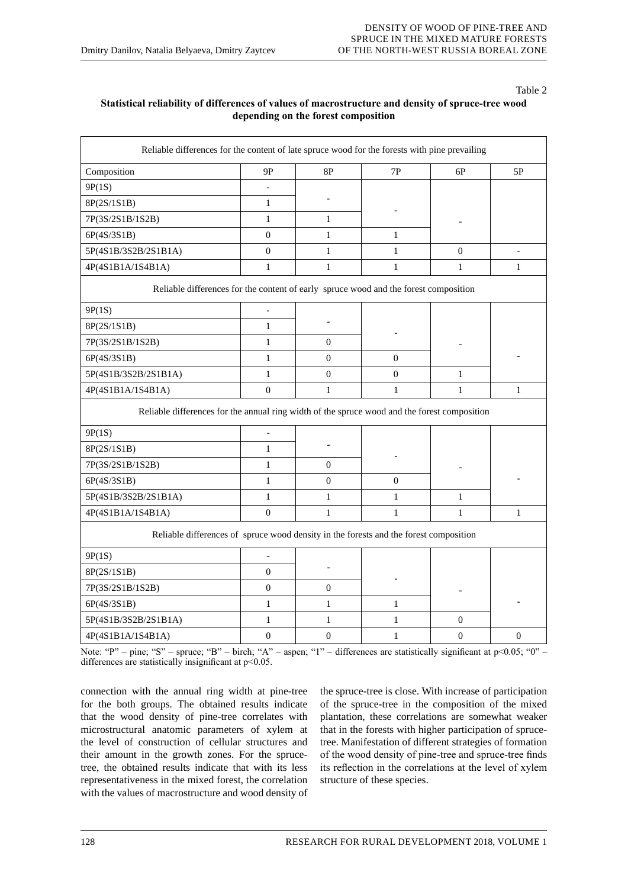### Table 2

# **Statistical reliability of differences of values of macrostructure and density of spruce-tree wood depending on the forest composition**

| Reliable differences for the content of late spruce wood for the forests with pine prevailing |                          |                  |                  |                  |                  |  |  |
|-----------------------------------------------------------------------------------------------|--------------------------|------------------|------------------|------------------|------------------|--|--|
| Composition                                                                                   | 9Р                       | $8{\rm P}$       | 7P               | 6P               | 5P               |  |  |
| 9P(1S)                                                                                        |                          |                  |                  |                  |                  |  |  |
| 8P(2S/1S1B)                                                                                   | $\mathbf{1}$             |                  |                  |                  |                  |  |  |
| 7P(3S/2S1B/1S2B)                                                                              | $\mathbf{1}$             | $\mathbf{1}$     |                  |                  |                  |  |  |
| 6P(4S/3S1B)                                                                                   | $\mathbf{0}$             | $\mathbf{1}$     | $\mathbf{1}$     |                  |                  |  |  |
| 5P(4S1B/3S2B/2S1B1A)                                                                          | $\boldsymbol{0}$         | $\mathbf{1}$     | $\mathbf{1}$     | $\mathbf{0}$     |                  |  |  |
| 4P(4S1B1A/1S4B1A)                                                                             | $\mathbf{1}$             | $\mathbf{1}$     | $\mathbf{1}$     | $\mathbf{1}$     | $\mathbf{1}$     |  |  |
| Reliable differences for the content of early spruce wood and the forest composition          |                          |                  |                  |                  |                  |  |  |
| 9P(1S)                                                                                        | $\overline{\phantom{0}}$ |                  |                  |                  |                  |  |  |
| 8P(2S/1S1B)                                                                                   | $\mathbf{1}$             | $\theta$         |                  |                  |                  |  |  |
| 7P(3S/2S1B/1S2B)                                                                              | $\mathbf{1}$             |                  |                  |                  |                  |  |  |
| 6P(4S/3S1B)                                                                                   | $\mathbf{1}$             | $\boldsymbol{0}$ | $\boldsymbol{0}$ |                  |                  |  |  |
| 5P(4S1B/3S2B/2S1B1A)                                                                          | $\mathbf{1}$             | $\mathbf{0}$     | $\theta$         | $\mathbf{1}$     |                  |  |  |
| 4P(4S1B1A/1S4B1A)                                                                             | $\boldsymbol{0}$         | $\mathbf{1}$     | $\mathbf{1}$     | $\mathbf{1}$     | $\mathbf{1}$     |  |  |
| Reliable differences for the annual ring width of the spruce wood and the forest composition  |                          |                  |                  |                  |                  |  |  |
| 9P(1S)                                                                                        | $\blacksquare$           |                  |                  |                  |                  |  |  |
| 8P(2S/1S1B)                                                                                   | $\mathbf{1}$             |                  |                  |                  |                  |  |  |
| 7P(3S/2S1B/1S2B)                                                                              | $\mathbf{1}$             | $\theta$         |                  |                  |                  |  |  |
| 6P(4S/3S1B)                                                                                   | $\mathbf{1}$             | $\boldsymbol{0}$ | $\theta$         |                  |                  |  |  |
| 5P(4S1B/3S2B/2S1B1A)                                                                          | $\mathbf{1}$             | $\mathbf{1}$     | $\mathbf{1}$     | $\mathbf{1}$     |                  |  |  |
| 4P(4S1B1A/1S4B1A)                                                                             | $\boldsymbol{0}$         | $\mathbf{1}$     | $\mathbf{1}$     | $\mathbf{1}$     | $\mathbf{1}$     |  |  |
| Reliable differences of spruce wood density in the forests and the forest composition         |                          |                  |                  |                  |                  |  |  |
| 9P(1S)                                                                                        |                          |                  |                  |                  |                  |  |  |
| 8P(2S/1S1B)                                                                                   | $\overline{0}$           |                  |                  |                  |                  |  |  |
| 7P(3S/2S1B/1S2B)                                                                              | $\overline{0}$           | $\theta$         |                  |                  |                  |  |  |
| 6P(4S/3S1B)                                                                                   | $\mathbf{1}$             | $\mathbf{1}$     | $\mathbf{1}$     |                  |                  |  |  |
| 5P(4S1B/3S2B/2S1B1A)                                                                          | $\mathbf{1}$             | $\mathbf{1}$     | 1                | $\Omega$         |                  |  |  |
| 4P(4S1B1A/1S4B1A)                                                                             | $\boldsymbol{0}$         | $\boldsymbol{0}$ | $\mathbf{1}$     | $\boldsymbol{0}$ | $\boldsymbol{0}$ |  |  |

Note: "P" – pine; "S" – spruce; "B" – birch; "A" – aspen; "1" – differences are statistically significant at p<0.05; "0" – differences are statistically insignificant at  $p<0.05$ .

connection with the annual ring width at pine-tree for the both groups. The obtained results indicate that the wood density of pine-tree correlates with microstructural anatomic parameters of xylem at the level of construction of cellular structures and their amount in the growth zones. For the sprucetree, the obtained results indicate that with its less representativeness in the mixed forest, the correlation with the values of macrostructure and wood density of the spruce-tree is close. With increase of participation of the spruce-tree in the composition of the mixed plantation, these correlations are somewhat weaker that in the forests with higher participation of sprucetree. Manifestation of different strategies of formation of the wood density of pine-tree and spruce-tree finds its reflection in the correlations at the level of xylem structure of these species.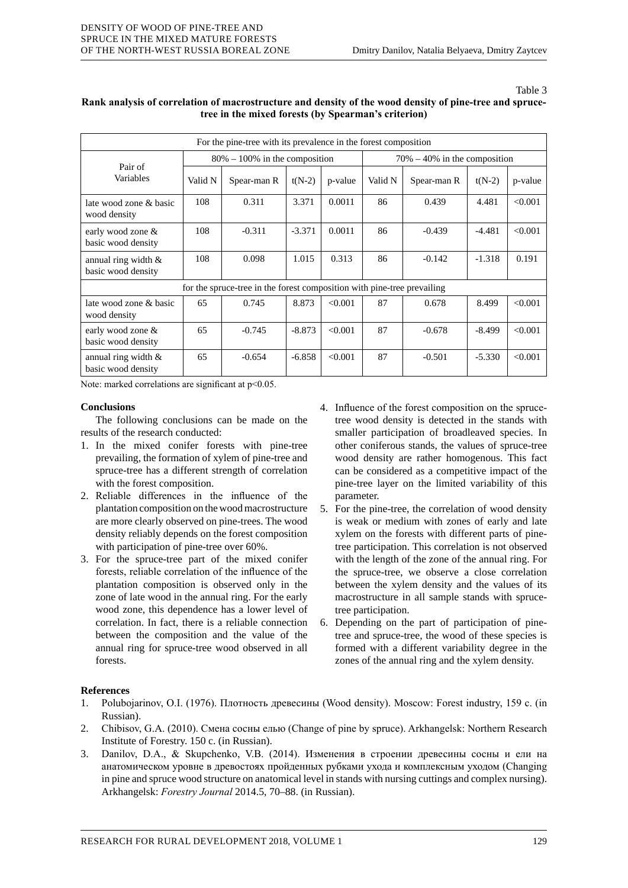#### Table 3

| For the pine-tree with its prevalence in the forest composition         |                                   |             |          |         |                                  |             |          |         |
|-------------------------------------------------------------------------|-----------------------------------|-------------|----------|---------|----------------------------------|-------------|----------|---------|
| Pair of<br>Variables                                                    | $80\% - 100\%$ in the composition |             |          |         | $70\% - 40\%$ in the composition |             |          |         |
|                                                                         | Valid N                           | Spear-man R | $t(N-2)$ | p-value | Valid N                          | Spear-man R | $t(N-2)$ | p-value |
| late wood zone & basic<br>wood density                                  | 108                               | 0.311       | 3.371    | 0.0011  | 86                               | 0.439       | 4.481    | < 0.001 |
| early wood zone &<br>basic wood density                                 | 108                               | $-0.311$    | $-3.371$ | 0.0011  | 86                               | $-0.439$    | $-4.481$ | < 0.001 |
| annual ring width $\&$<br>basic wood density                            | 108                               | 0.098       | 1.015    | 0.313   | 86                               | $-0.142$    | $-1.318$ | 0.191   |
| for the spruce-tree in the forest composition with pine-tree prevailing |                                   |             |          |         |                                  |             |          |         |
| late wood zone & basic<br>wood density                                  | 65                                | 0.745       | 8.873    | < 0.001 | 87                               | 0.678       | 8.499    | < 0.001 |
| early wood zone &<br>basic wood density                                 | 65                                | $-0.745$    | $-8.873$ | < 0.001 | 87                               | $-0.678$    | $-8.499$ | < 0.001 |
| annual ring width $\&$<br>basic wood density                            | 65                                | $-0.654$    | $-6.858$ | < 0.001 | 87                               | $-0.501$    | $-5.330$ | < 0.001 |

# **Rank analysis of correlation of macrostructure and density of the wood density of pine-tree and sprucetree in the mixed forests (by Spearman's criterion)**

Note: marked correlations are significant at  $p<0.05$ .

## **Conclusions**

The following conclusions can be made on the results of the research conducted:

- 1. In the mixed conifer forests with pine-tree prevailing, the formation of xylem of pine-tree and spruce-tree has a different strength of correlation with the forest composition.
- 2. Reliable differences in the influence of the plantation composition on the wood macrostructure are more clearly observed on pine-trees. The wood density reliably depends on the forest composition with participation of pine-tree over 60%.
- 3. For the spruce-tree part of the mixed conifer forests, reliable correlation of the influence of the plantation composition is observed only in the zone of late wood in the annual ring. For the early wood zone, this dependence has a lower level of correlation. In fact, there is a reliable connection between the composition and the value of the annual ring for spruce-tree wood observed in all forests.
- 4. Influence of the forest composition on the sprucetree wood density is detected in the stands with smaller participation of broadleaved species. In other coniferous stands, the values of spruce-tree wood density are rather homogenous. This fact can be considered as a competitive impact of the pine-tree layer on the limited variability of this parameter.
- 5. For the pine-tree, the correlation of wood density is weak or medium with zones of early and late xylem on the forests with different parts of pinetree participation. This correlation is not observed with the length of the zone of the annual ring. For the spruce-tree, we observe a close correlation between the xylem density and the values of its macrostructure in all sample stands with sprucetree participation.
- 6. Depending on the part of participation of pinetree and spruce-tree, the wood of these species is formed with a different variability degree in the zones of the annual ring and the xylem density.

# **References**

- 1. Polubojarinov, O.I. (1976). Плотность древесины (Wood density). Moscow: Forest industry, 159 c. (in Russian).
- 2. Chibisov, G.A. (2010). Смена сосны елью (Change of pine by spruce). Arkhangelsk: Northern Research Institute of Forestry. 150 c. (in Russian).
- 3. Danilov, D.A., & Skupchenko, V.B. (2014). Изменения в строении древесины сосны и ели на анатомическом уровне в древостоях пройденных рубками ухода и комплексным уходом (Changing in pine and spruce wood structure on anatomical level in stands with nursing cuttings and complex nursing). Arkhangelsk: *Forestry Journal* 2014.5, 70–88. (in Russian).